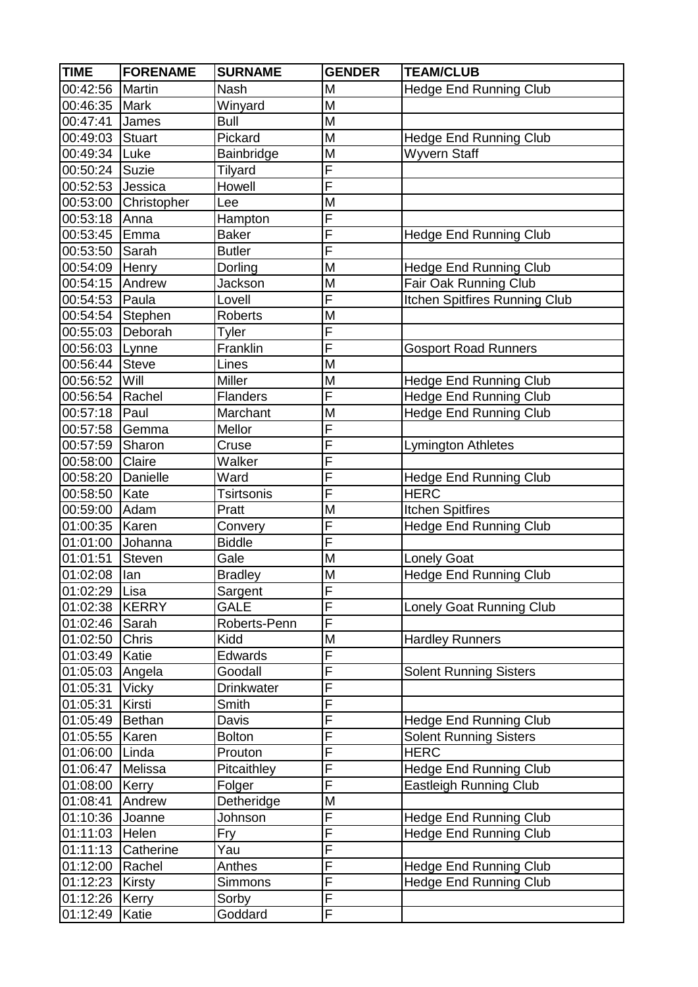| <b>TIME</b>      | <b>FORENAME</b> | <b>SURNAME</b>    | <b>GENDER</b>           | <b>TEAM/CLUB</b>              |
|------------------|-----------------|-------------------|-------------------------|-------------------------------|
| 00:42:56         | <b>Martin</b>   | <b>Nash</b>       | M                       | <b>Hedge End Running Club</b> |
| 00:46:35         | <b>Mark</b>     | Winyard           | M                       |                               |
| 00:47:41         | James           | <b>Bull</b>       | M                       |                               |
| 00:49:03         | Stuart          | Pickard           | M                       | <b>Hedge End Running Club</b> |
| 00:49:34         | Luke            | Bainbridge        | M                       | <b>Wyvern Staff</b>           |
| 00:50:24         | Suzie           | Tilyard           | F                       |                               |
| 00:52:53 Jessica |                 | Howell            | $\overline{\mathsf{F}}$ |                               |
| 00:53:00         | Christopher     | Lee               | M                       |                               |
| 00:53:18         | Anna            | Hampton           | $\overline{\mathsf{F}}$ |                               |
| 00:53:45         | Emma            | <b>Baker</b>      | $\overline{F}$          | <b>Hedge End Running Club</b> |
| 00:53:50         | Sarah           | <b>Butler</b>     | F                       |                               |
| 00:54:09 Henry   |                 | Dorling           | M                       | <b>Hedge End Running Club</b> |
| 00:54:15 Andrew  |                 | Jackson           | M                       | Fair Oak Running Club         |
| 00:54:53 Paula   |                 | Lovell            | $\overline{\mathsf{F}}$ | Itchen Spitfires Running Club |
| 00:54:54         | Stephen         | <b>Roberts</b>    | M                       |                               |
| 00:55:03 Deborah |                 | Tyler             | F                       |                               |
| 00:56:03 Lynne   |                 | Franklin          | F                       | <b>Gosport Road Runners</b>   |
| 00:56:44         | <b>Steve</b>    | Lines             | M                       |                               |
| 00:56:52         | Will            | <b>Miller</b>     | M                       | <b>Hedge End Running Club</b> |
| 00:56:54 Rachel  |                 | <b>Flanders</b>   | $\overline{F}$          | <b>Hedge End Running Club</b> |
| 00:57:18         | Paul            | Marchant          | M                       | <b>Hedge End Running Club</b> |
| 00:57:58         | Gemma           | Mellor            | F                       |                               |
| 00:57:59         | Sharon          | Cruse             | F                       | <b>Lymington Athletes</b>     |
| 00:58:00         | Claire          | Walker            | $\overline{\mathsf{F}}$ |                               |
| 00:58:20         | Danielle        | Ward              | $\overline{\mathsf{F}}$ | <b>Hedge End Running Club</b> |
| 00:58:50         | Kate            | <b>Tsirtsonis</b> | $\overline{F}$          | <b>HERC</b>                   |
| 00:59:00         | Adam            | Pratt             | M                       | <b>Itchen Spitfires</b>       |
| 01:00:35         | Karen           | Convery           | F                       | <b>Hedge End Running Club</b> |
| 01:01:00         | Johanna         | <b>Biddle</b>     | $\overline{\mathsf{F}}$ |                               |
| 01:01:51         | <b>Steven</b>   | Gale              | M                       | <b>Lonely Goat</b>            |
| 01:02:08         | lan             | <b>Bradley</b>    | M                       | <b>Hedge End Running Club</b> |
| 01:02:29 Lisa    |                 | Sargent           | $\overline{\mathsf{F}}$ |                               |
| 01:02:38 KERRY   |                 | <b>GALE</b>       | F                       | Lonely Goat Running Club      |
| 01:02:46 Sarah   |                 | Roberts-Penn      | $\overline{\mathsf{F}}$ |                               |
| 01:02:50         | <b>Chris</b>    | Kidd              | M                       | <b>Hardley Runners</b>        |
| 01:03:49 Katie   |                 | Edwards           | $\overline{\mathsf{F}}$ |                               |
| 01:05:03 Angela  |                 | Goodall           | $\overline{F}$          | <b>Solent Running Sisters</b> |
| 01:05:31         | <b>Vicky</b>    | <b>Drinkwater</b> | F                       |                               |
| 01:05:31         | Kirsti          | Smith             | $\overline{\mathsf{F}}$ |                               |
| 01:05:49         | Bethan          | Davis             | F                       | <b>Hedge End Running Club</b> |
| 01:05:55         | Karen           | <b>Bolton</b>     | $\overline{F}$          | <b>Solent Running Sisters</b> |
| 01:06:00         | Linda           | Prouton           | $\overline{F}$          | <b>HERC</b>                   |
| 01:06:47         | Melissa         | Pitcaithley       | F                       | <b>Hedge End Running Club</b> |
| 01:08:00         | Kerry           | Folger            | F                       | Eastleigh Running Club        |
| 01:08:41         | Andrew          | Detheridge        | M                       |                               |
| 01:10:36         | Joanne          | Johnson           | $\overline{F}$          | <b>Hedge End Running Club</b> |
| 01:11:03         | Helen           | Fry               | $\overline{F}$          | <b>Hedge End Running Club</b> |
| 01:11:13         | Catherine       | Yau               | F                       |                               |
| 01:12:00         | Rachel          | Anthes            | $\overline{\mathsf{F}}$ | <b>Hedge End Running Club</b> |
| 01:12:23         | Kirsty          | Simmons           | F                       | <b>Hedge End Running Club</b> |
| 01:12:26         | Kerry           | Sorby             | $\overline{F}$          |                               |
| 01:12:49         | Katie           | Goddard           | $\overline{F}$          |                               |
|                  |                 |                   |                         |                               |